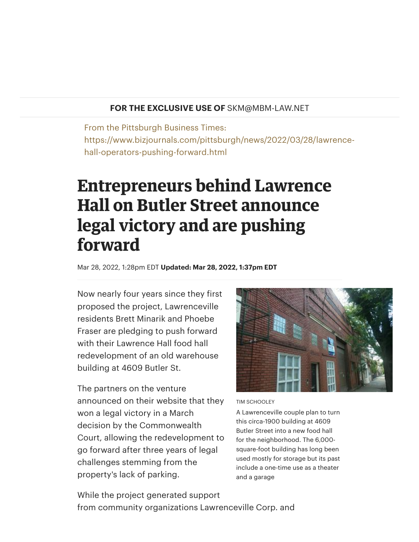## **FOR THE EXCLUSIVE USE OF** SKM@MBM-LAW.NET

From the Pittsburgh Business Times: https://www.bizjournals.com/pittsburgh/news/2022/03/28/lawrencehall-operators-pushing-forward.html

## **Entrepreneurs behind Lawrence Hall on Butler Street announce legal victory and are pushing forward**

Mar 28, 2022, 1:28pm EDT **Updated: Mar 28, 2022, 1:37pm EDT**

Now nearly four years since they first proposed the project, Lawrenceville [residents](https://www.bizjournals.com/pittsburgh/search/results?q=Phoebe%20Fraser) Brett [Minarik](https://www.bizjournals.com/pittsburgh/search/results?q=Brett%20Minarik) and Phoebe Fraser are pledging to push forward with their Lawrence Hall food hall redevelopment of an old warehouse building at 4609 Butler St.

The partners on the venture announced on their [website](https://www.lawrencehallpgh.com/update) that they won a legal victory in a March decision by the Commonwealth Court, allowing the redevelopment to go forward after three years of legal challenges stemming from the property's lack of parking.



## TIM SCHOOLEY

A Lawrenceville couple plan to turn this circa-1900 building at 4609 Butler Street into a new food hall for the neighborhood. The 6,000 square-foot building has long been used mostly for storage but its past include a one-time use as a theater and a garage

While the project generated support from community organizations Lawrenceville Corp. and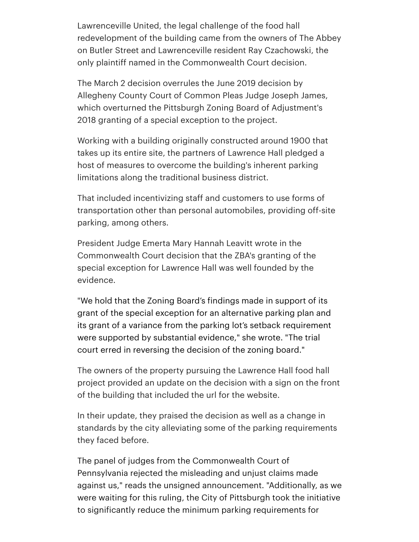Lawrenceville United, the legal challenge of the food hall [redevelopment](https://www.bizjournals.com/pittsburgh/news/2018/11/01/abbey-on-butler-owner-makes-legal-challenge-to.html) of the building came from the owners of The Abbey on Butler Street and Lawrenceville resident Ray Czachowski, the only plaintiff named in the Commonwealth Court decision.

The March 2 decision overrules the June 2019 decision by [Allegheny](https://www.bizjournals.com/pittsburgh/news/2019/06/04/judge-overturns-zoning-approval-for-food-hall.html) County Court of Common Pleas Judge Joseph James, which overturned the Pittsburgh Zoning Board of Adjustment's 2018 granting of a special exception to the project.

Working with a building originally constructed around 1900 that takes up its entire site, the partners of Lawrence Hall pledged a host of measures to overcome the building's inherent parking limitations along the traditional business district.

That included incentivizing staff and customers to use forms of transportation other than personal automobiles, providing off-site parking, among others.

President Judge Emerta Mary Hannah Leavitt wrote in the Commonwealth Court decision that the ZBA's granting of the special exception for Lawrence Hall was well founded by the evidence.

"We hold that the Zoning Board's findings made in support of its grant of the special exception for an alternative parking plan and its grant of a variance from the parking lot's setback requirement were supported by substantial evidence," she wrote. "The trial court erred in reversing the decision of the zoning board."

The owners of the property pursuing the Lawrence Hall food hall project provided an update on the decision with a sign on the front of the building that included the url for the website.

In their update, they praised the decision as well as a change in standards by the city alleviating some of the parking requirements they faced before.

The panel of judges from the Commonwealth Court of Pennsylvania rejected the misleading and unjust claims made against us," reads the unsigned announcement. "Additionally, as we were waiting for this ruling, the City of Pittsburgh took the initiative to significantly reduce the minimum parking requirements for